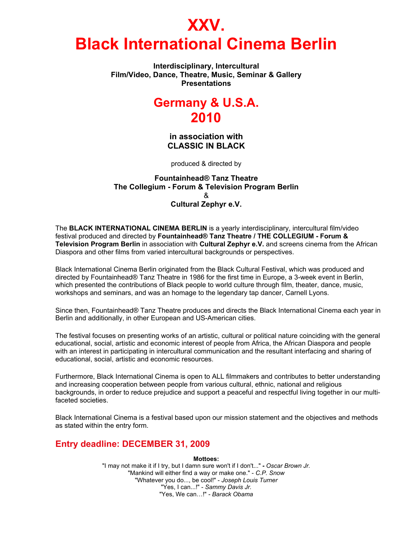# **XXV. Black International Cinema Berlin**

**Interdisciplinary, Intercultural Film/Video, Dance, Theatre, Music, Seminar & Gallery Presentations** 

# **Germany & U.S.A. 2010**

**in association with CLASSIC IN BLACK** 

produced & directed by

**Fountainhead® Tanz Theatre The Collegium - Forum & Television Program Berlin**  & **Cultural Zephyr e.V.** 

The **BLACK INTERNATIONAL CINEMA BERLIN** is a yearly interdisciplinary, intercultural film/video festival produced and directed by **Fountainhead® Tanz Theatre / THE COLLEGIUM - Forum & Television Program Berlin** in association with **Cultural Zephyr e.V.** and screens cinema from the African Diaspora and other films from varied intercultural backgrounds or perspectives.

Black International Cinema Berlin originated from the Black Cultural Festival, which was produced and directed by Fountainhead® Tanz Theatre in 1986 for the first time in Europe, a 3-week event in Berlin, which presented the contributions of Black people to world culture through film, theater, dance, music, workshops and seminars, and was an homage to the legendary tap dancer, Carnell Lyons.

Since then, Fountainhead® Tanz Theatre produces and directs the Black International Cinema each year in Berlin and additionally, in other European and US-American cities.

The festival focuses on presenting works of an artistic, cultural or political nature coinciding with the general educational, social, artistic and economic interest of people from Africa, the African Diaspora and people with an interest in participating in intercultural communication and the resultant interfacing and sharing of educational, social, artistic and economic resources.

Furthermore, Black International Cinema is open to ALL filmmakers and contributes to better understanding and increasing cooperation between people from various cultural, ethnic, national and religious backgrounds, in order to reduce prejudice and support a peaceful and respectful living together in our multifaceted societies.

Black International Cinema is a festival based upon our mission statement and the objectives and methods as stated within the entry form.

# **Entry deadline: DECEMBER 31, 2009**

**Mottoes:** 

"I may not make it if I try, but I damn sure won't if I don't..." **-** *Oscar Brown Jr.* "Mankind will either find a way or make one." - *C.P. Snow* "Whatever you do..., be cool!" - *Joseph Louis Turner* "Yes, I can...!" - *Sammy Davis Jr.*  "Yes, We can…!" *- Barack Obama*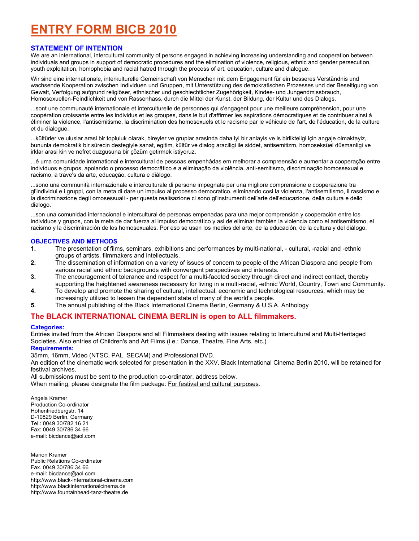# **ENTRY FORM BICB 2010**

# **STATEMENT OF INTENTION**

We are an international, intercultural community of persons engaged in achieving increasing understanding and cooperation between individuals and groups in support of democratic procedures and the elimination of violence, religious, ethnic and gender persecution, youth exploitation, homophobia and racial hatred through the process of art, education, culture and dialogue.

Wir sind eine internationale, interkulturelle Gemeinschaft von Menschen mit dem Engagement für ein besseres Verständnis und wachsende Kooperation zwischen Individuen und Gruppen, mit Unterstützung des demokratischen Prozesses und der Beseitigung von Gewalt, Verfolgung aufgrund religiöser, ethnischer und geschlechtlicher Zugehörigkeit, Kindes- und Jungendmissbrauch, Homosexuellen-Feindlichkeit und von Rassenhass, durch die Mittel der Kunst, der Bildung, der Kultur und des Dialogs.

...sont une communauté internationale et interculturelle de personnes qui s'engagent pour une meilleure compréhension, pour une coopération croissante entre les individus et les groupes, dans le but d'affirmer les aspirations démocratiques et de contribuer ainsi à éliminer la violence, l'antisémitisme, la discrimination des homosexuels et le racisme par le véhicule de l'art, de l'éducation, de la culture et du dialogue.

...kültürler ve uluslar arasi bir topluluk olarak, bireyler ve gruplar arasinda daha iyi bir anlayis ve is birlikteligi için angaje olmaktayiz, bununla demokratik bir sürecin destegiyle sanat, egitim, kültür ve dialog araciligi ile siddet, antisemitizm, homoseksüel düsmanligi ve irklar arasi kin ve nefret duzgusuna bir çözüm getirmek istiyoruz.

...é uma comunidade international e intercultural de pessoas empenhádas em melhorar a compreensão e aumentar a cooperação entre indivíduos e grupos, apoiando o processo democrãtico e a eliminação da violência, anti-semitismo, discriminação homossexual e racismo, a trave's da arte, educação, cultura e diálogo.

...sono una communità internazionale e interculturale di persone impegnate per una migliore comprensione e cooperazione tra gl'individui e i gruppi, con la meta di dare un impulso al processo democratico, eliminando cosi la violenza, l'antisemitismo, il rassismo e la discriminazione degli omosessuali - per questa realisazione ci sono gl'instrumenti dell'arte dell'educazione, della cultura e dello dialogo.

...son una comunidad internacional e intercultural de personas empenadas para una mejor comprensión y cooperación entre los individuos y grupos, con la meta de dar fuerza al impulso democrático y asi de eliminar también la violencia como el antisemitismo, el racismo y la discriminación de los homosexuales. Por eso se usan los medios del arte, de la educación, de la cultura y del diálogo.

## **OBJECTIVES AND METHODS**

- **1.** The presentation of films, seminars, exhibitions and performances by multi-national, cultural, -racial and -ethnic groups of artists, filmmakers and intellectuals.<br>2. The dissemination of information on a variety
- **2.** The dissemination of information on a variety of issues of concern to people of the African Diaspora and people from various racial and ethnic backgrounds with convergent perspectives and interests.
- **3.** The encouragement of tolerance and respect for a multi-faceted society through direct and indirect contact, thereby supporting the heightened awareness necessary for living in a multi-racial, -ethnic World, Country, Town and Community.
- **4.** To develop and promote the sharing of cultural, intellectual, economic and technological resources, which may be increasingly utilized to lessen the dependent state of many of the world's people.
- **5.** The annual publishing of the Black International Cinema Berlin, Germany & U.S.A. Anthology

# **The BLACK INTERNATIONAL CINEMA BERLIN is open to ALL filmmakers.**

#### **Categories:**

Entries invited from the African Diaspora and all Filmmakers dealing with issues relating to Intercultural and Multi-Heritaged Societies. Also entries of Children's and Art Films (i.e.: Dance, Theatre, Fine Arts, etc.)

## **Requirements:**

35mm, 16mm, Video (NTSC, PAL, SECAM) and Professional DVD.

An edition of the cinematic work selected for presentation in the XXV. Black International Cinema Berlin 2010, will be retained for festival archives.

All submissions must be sent to the production co-ordinator, address below.

When mailing, please designate the film package: For festival and cultural purposes.

Angela Kramer Production Co-ordinator Hohenfriedbergstr. 14 D-10829 Berlin, Germany Tel.: 0049 30/782 16 21 Fax: 0049 30/786 34 66 e-mail: bicdance@aol.com

Marion Kramer Public Relations Co-ordinator Fax. 0049 30/786 34 66 e-mail: bicdance@aol.com http://www.black-international-cinema.com http://www.blackinternationalcinema.de http://www.fountainhead-tanz-theatre.de